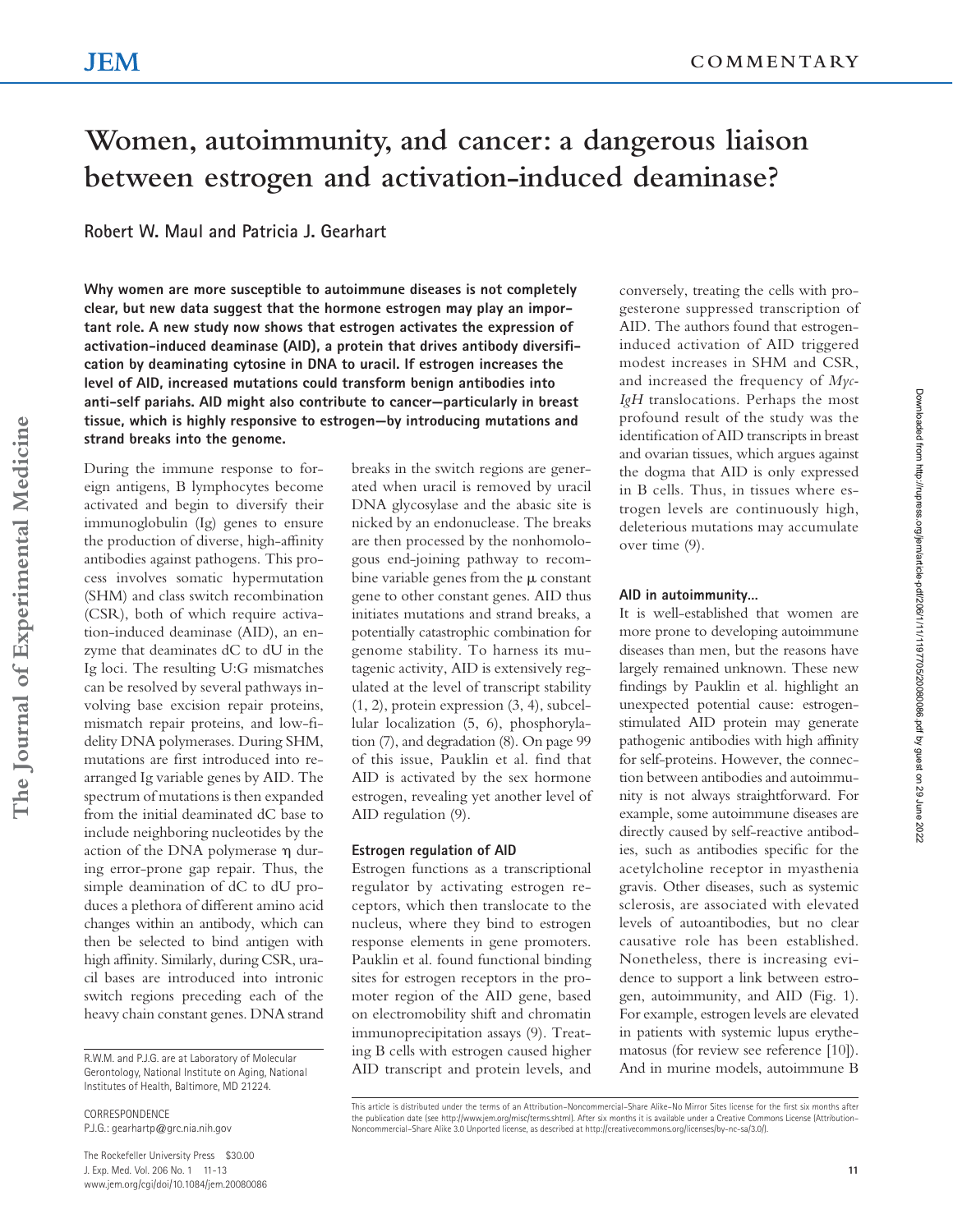# **Women, autoimmunity, and cancer: a dangerous liaison between estrogen and activation-induced deaminase?**

**Robert W. Mauland Patricia J. Gearhart** 

**Why women are more susceptible to autoimmune diseases is not completely clear, but new data suggest that the hormone estrogen may play an important role. A new study now shows that estrogen activates the expression of activation-induced deaminase (AID), a protein that drives antibody diversifi cation by deaminating cytosine in DNA to uracil. If estrogen increases the level of AID, increased mutations could transform benign antibodies into anti-self pariahs. AID might also contribute to cancer — particularly in breast tissue, which is highly responsive to estrogen — by introducing mutations and strand breaks into the genome.**

During the immune response to foreign antigens, B lymphocytes become activated and begin to diversify their immunoglobulin (Ig) genes to ensure the production of diverse, high-affinity antibodies against pathogens. This process involves somatic hypermutation (SHM) and class switch recombination (CSR), both of which require activation-induced deaminase (AID), an enzyme that deaminates dC to dU in the Ig loci. The resulting U:G mismatches can be resolved by several pathways involving base excision repair proteins, mismatch repair proteins, and low-fidelity DNA polymerases. During SHM, mutations are first introduced into rearranged Ig variable genes by AID. The spectrum of mutations is then expanded from the initial deaminated dC base to include neighboring nucleotides by the action of the DNA polymerase  $\eta$  during error-prone gap repair. Thus, the simple deamination of dC to dU produces a plethora of different amino acid changes within an antibody, which can then be selected to bind antigen with high affinity. Similarly, during CSR, uracil bases are introduced into intronic switch regions preceding each of the heavy chain constant genes. DNA strand

 R.W.M. and P.J.G. are at Laboratory of Molecular Gerontology, National Institute on Aging, National Institutes of Health, Baltimore, MD 21224.

 CORRESPONDENCE P.J.G.: gearhartp@grc.nia.nih.gov

The Rockefeller University Press \$30.00 J. Exp. Med. Vol. 206 No. 1 11-13 www.jem.org/cgi/doi/10.1084/jem.20080086 breaks in the switch regions are generated when uracil is removed by uracil DNA glycosylase and the abasic site is nicked by an endonuclease. The breaks are then processed by the nonhomologous end-joining pathway to recombine variable genes from the  $\mu$  constant gene to other constant genes. AID thus initiates mutations and strand breaks, a potentially catastrophic combination for genome stability. To harness its mutagenic activity, AID is extensively regulated at the level of transcript stability  $(1, 2)$ , protein expression  $(3, 4)$ , subcellular localization  $(5, 6)$ , phosphorylation (7), and degradation (8). On page 99 of this issue, Pauklin et al. find that AID is activated by the sex hormone estrogen, revealing yet another level of AID regulation (9).

# **Estrogen regulation of AID**

Estrogen functions as a transcriptional regulator by activating estrogen receptors, which then translocate to the nucleus, where they bind to estrogen response elements in gene promoters. Pauklin et al. found functional binding sites for estrogen receptors in the promoter region of the AID gene, based on electromobility shift and chromatin immunoprecipitation assays (9). Treating B cells with estrogen caused higher AID transcript and protein levels, and conversely, treating the cells with progesterone suppressed transcription of AID. The authors found that estrogeninduced activation of AID triggered modest increases in SHM and CSR, and increased the frequency of *Myc-IgH* translocations. Perhaps the most profound result of the study was the identification of AID transcripts in breast and ovarian tissues, which argues against the dogma that AID is only expressed in B cells. Thus, in tissues where estrogen levels are continuously high, deleterious mutations may accumulate over time  $(9)$ .

### **AID in autoimmunity …**

It is well-established that women are more prone to developing autoimmune diseases than men, but the reasons have largely remained unknown. These new findings by Pauklin et al. highlight an unexpected potential cause: estrogenstimulated AID protein may generate pathogenic antibodies with high affinity for self-proteins. However, the connection between antibodies and autoimmunity is not always straightforward. For example, some autoimmune diseases are directly caused by self-reactive antibodies, such as antibodies specific for the acetylcholine receptor in myasthenia gravis. Other diseases, such as systemic sclerosis, are associated with elevated levels of autoantibodies, but no clear causative role has been established. Nonetheless, there is increasing evidence to support a link between estrogen, autoimmunity, and AID (Fig. 1). For example, estrogen levels are elevated in patients with systemic lupus erythematosus (for review see reference [10]). And in murine models, autoimmune B

Downloaded from http://rupress.org/jem/article-pdf/206/1/11/1197705/20080086.pdf by guest on 29 June 2022

Downloaded from http://rupress.org/jem/article-pdf/206/1/11/1197705/20080086.pdf by guest on 29 June 2022

This article is distributed under the terms of an Attribution–Noncommercial–Share Alike–No Mirror Sites license for the first six months after the publication date (see http://www.jem.org/misc/terms.shtml). After six months it is available under a Creative Commons License (Attribution– Noncommercial–Share Alike 3.0 Unported license, as described at http://creativecommons.org/licenses/by-nc-sa/3.0/).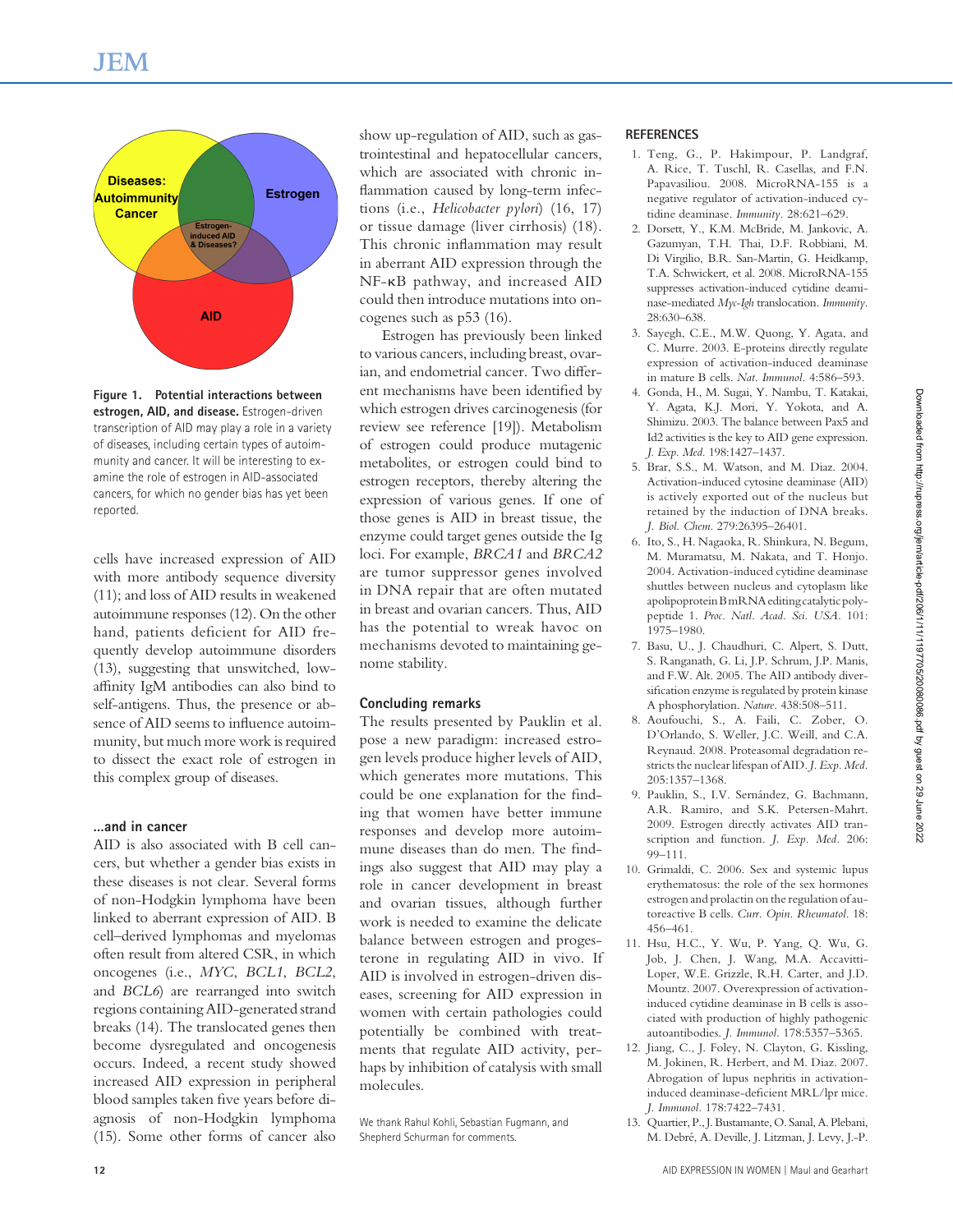

**Figure 1. Potential interactions between estrogen, AID, and disease.** Estrogen-driven transcription of AID may play a role in a variety of diseases, including certain types of autoimmunity and cancer. It will be interesting to examine the role of estrogen in AID-associated cancers, for which no gender bias has yet been reported.

cells have increased expression of AID with more antibody sequence diversity ( 11 ); and loss of AID results in weakened autoimmune responses (12). On the other hand, patients deficient for AID frequently develop autoimmune disorders (13), suggesting that unswitched, lowaffinity IgM antibodies can also bind to self-antigens. Thus, the presence or absence of AID seems to influence autoimmunity, but much more work is required to dissect the exact role of estrogen in this complex group of diseases.

## **… and in cancer**

AID is also associated with B cell cancers, but whether a gender bias exists in these diseases is not clear. Several forms of non-Hodgkin lymphoma have been linked to aberrant expression of AID. B cell-derived lymphomas and myelomas often result from altered CSR, in which oncogenes (i.e., *MYC*, *BCL1*, *BCL2*, and *BCL6*) are rearranged into switch regions containing AID-generated strand breaks (14). The translocated genes then become dysregulated and oncogenesis occurs. Indeed, a recent study showed increased AID expression in peripheral blood samples taken five years before diagnosis of non-Hodgkin lymphoma (15). Some other forms of cancer also

show up-regulation of AID, such as gastrointestinal and hepatocellular cancers, which are associated with chronic inflammation caused by long-term infections (i.e., *Helicobacter pylori*) (16, 17) or tissue damage (liver cirrhosis) (18). This chronic inflammation may result in aberrant AID expression through the NF-KB pathway, and increased AID could then introduce mutations into oncogenes such as  $p53$  (16).

Estrogen has previously been linked to various cancers, including breast, ovarian, and endometrial cancer. Two different mechanisms have been identified by which estrogen drives carcinogenesis (for review see reference [19]). Metabolism of estrogen could produce mutagenic metabolites, or estrogen could bind to estrogen receptors, thereby altering the expression of various genes. If one of those genes is AID in breast tissue, the enzyme could target genes outside the Ig loci. For example, *BRCA1* and *BRCA2* are tumor suppressor genes involved in DNA repair that are often mutated in breast and ovarian cancers. Thus, AID has the potential to wreak havoc on mechanisms devoted to maintaining genome stability.

# **Concluding remarks**

The results presented by Pauklin et al. pose a new paradigm: increased estrogen levels produce higher levels of AID, which generates more mutations. This could be one explanation for the finding that women have better immune responses and develop more autoimmune diseases than do men. The findings also suggest that AID may play a role in cancer development in breast and ovarian tissues, although further work is needed to examine the delicate balance between estrogen and progesterone in regulating AID in vivo. If AID is involved in estrogen-driven diseases, screening for AID expression in women with certain pathologies could potentially be combined with treatments that regulate AID activity, perhaps by inhibition of catalysis with small molecules.

 We thank Rahul Kohli, Sebastian Fugmann, and Shepherd Schurman for comments.

### **REFERENCES**

- 1. Teng, G., P. Hakimpour, P. Landgraf, A. Rice, T. Tuschl, R. Casellas, and F.N. Papavasiliou. 2008. MicroRNA-155 is a negative regulator of activation-induced cytidine deaminase. *Immunity*. 28:621-629.
- 2. Dorsett, Y., K.M. McBride, M. Jankovic, A. Gazumyan, T.H. Thai, D.F. Robbiani, M. Di Virgilio, B.R. San-Martin, G. Heidkamp, T.A. Schwickert, et al. 2008. MicroRNA-155 suppresses activation-induced cytidine deaminase-mediated *Myc-Igh* translocation. *Immunity.*  $28.630 - 638$
- 3. Sayegh, C.E., M.W. Quong, Y. Agata, and C. Murre. 2003. E-proteins directly regulate expression of activation-induced deaminase in mature B cells. *Nat. Immunol.* 4:586-593.
- 4. Gonda, H., M. Sugai, Y. Nambu, T. Katakai, Y. Agata, K.J. Mori, Y. Yokota, and A. Shimizu. 2003. The balance between Pax5 and Id2 activities is the key to AID gene expression. *J. Exp. Med.* 198:1427-1437.
- 5. Brar, S.S., M. Watson, and M. Diaz. 2004. Activation-induced cytosine deaminase (AID) is actively exported out of the nucleus but retained by the induction of DNA breaks. *J. Biol. Chem.* 279:26395-26401.
- 6. Ito, S., H. Nagaoka, R. Shinkura, N. Begum, M. Muramatsu, M. Nakata, and T. Honjo. 2004. Activation-induced cytidine deaminase shuttles between nucleus and cytoplasm like apolipoprotein B mRNA editing catalytic polypeptide 1. Proc. Natl. Acad. Sci. USA. 101: 1975 – 1980.
- 7. Basu, U., J. Chaudhuri, C. Alpert, S. Dutt, S. Ranganath, G. Li, J.P. Schrum, J.P. Manis, and F.W. Alt. 2005. The AID antibody diversification enzyme is regulated by protein kinase A phosphorylation. *Nature*. 438:508-511.
- 8. Aoufouchi, S., A. Faili, C. Zober, O. D'Orlando, S. Weller, J.C. Weill, and C.A. Reynaud. 2008. Proteasomal degradation restricts the nuclear lifespan of AID. *J. Exp. Med.* 205 : 1357 – 1368 .
- 9. Pauklin, S., I.V. Sernández, G. Bachmann, A.R. Ramiro, and S.K. Petersen-Mahrt. 2009. Estrogen directly activates AID transcription and function. *J. Exp. Med.* 206: 99 – 111.
- 10. Grimaldi, C. 2006. Sex and systemic lupus erythematosus: the role of the sex hormones estrogen and prolactin on the regulation of autoreactive B cells. *Curr. Opin. Rheumatol.* 18: 456 – 461 .
- 11. Hsu, H.C., Y. Wu, P. Yang, Q. Wu, G. Job, J. Chen, J. Wang, M.A. Accavitti-Loper, W.E. Grizzle, R.H. Carter, and J.D. Mountz. 2007. Overexpression of activationinduced cytidine deaminase in B cells is associated with production of highly pathogenic autoantibodies. *J. Immunol.* 178:5357-5365.
- 12. Jiang, C., J. Foley, N. Clayton, G. Kissling, M. Jokinen, R. Herbert, and M. Diaz. 2007. Abrogation of lupus nephritis in activationinduced deaminase-deficient MRL/lpr mice. *J. Immunol.* 178:7422-7431.
- 13. Quartier, P., J. Bustamante, O. Sanal, A. Plebani, M. Debré, A. Deville, J. Litzman, J. Levy, J.-P.